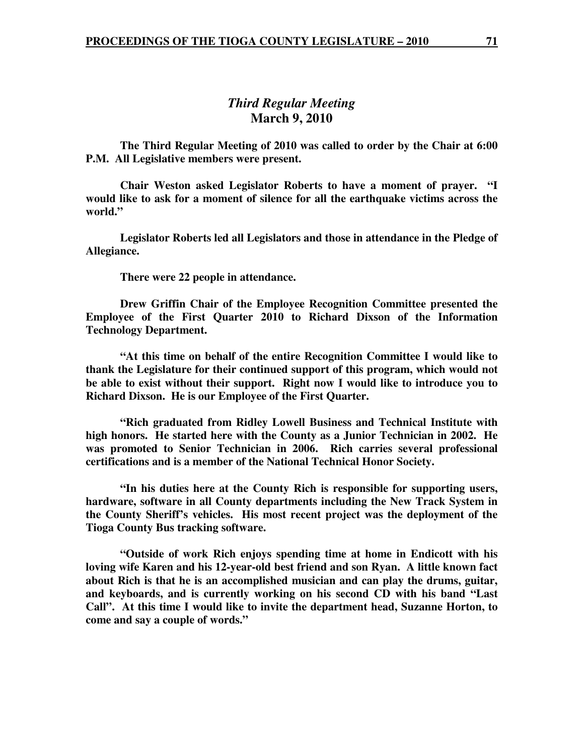# *Third Regular Meeting*  **March 9, 2010**

 **The Third Regular Meeting of 2010 was called to order by the Chair at 6:00 P.M. All Legislative members were present.** 

**Chair Weston asked Legislator Roberts to have a moment of prayer. "I would like to ask for a moment of silence for all the earthquake victims across the world."** 

 **Legislator Roberts led all Legislators and those in attendance in the Pledge of Allegiance.** 

 **There were 22 people in attendance.** 

 **Drew Griffin Chair of the Employee Recognition Committee presented the Employee of the First Quarter 2010 to Richard Dixson of the Information Technology Department.** 

 **"At this time on behalf of the entire Recognition Committee I would like to thank the Legislature for their continued support of this program, which would not be able to exist without their support. Right now I would like to introduce you to Richard Dixson. He is our Employee of the First Quarter.** 

 **"Rich graduated from Ridley Lowell Business and Technical Institute with high honors. He started here with the County as a Junior Technician in 2002. He was promoted to Senior Technician in 2006. Rich carries several professional certifications and is a member of the National Technical Honor Society.** 

 **"In his duties here at the County Rich is responsible for supporting users, hardware, software in all County departments including the New Track System in the County Sheriff's vehicles. His most recent project was the deployment of the Tioga County Bus tracking software.** 

 **"Outside of work Rich enjoys spending time at home in Endicott with his loving wife Karen and his 12-year-old best friend and son Ryan. A little known fact about Rich is that he is an accomplished musician and can play the drums, guitar, and keyboards, and is currently working on his second CD with his band "Last Call". At this time I would like to invite the department head, Suzanne Horton, to come and say a couple of words."**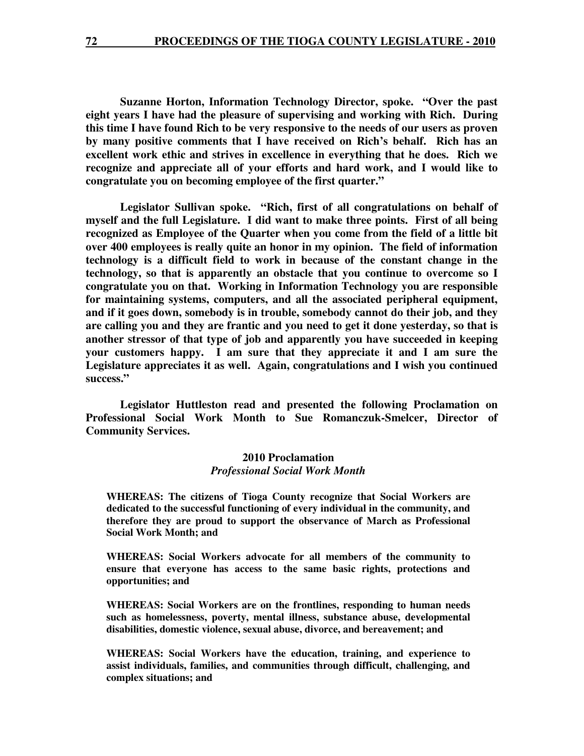**Suzanne Horton, Information Technology Director, spoke. "Over the past eight years I have had the pleasure of supervising and working with Rich. During this time I have found Rich to be very responsive to the needs of our users as proven by many positive comments that I have received on Rich's behalf. Rich has an excellent work ethic and strives in excellence in everything that he does. Rich we recognize and appreciate all of your efforts and hard work, and I would like to congratulate you on becoming employee of the first quarter."** 

 **Legislator Sullivan spoke. "Rich, first of all congratulations on behalf of myself and the full Legislature. I did want to make three points. First of all being recognized as Employee of the Quarter when you come from the field of a little bit over 400 employees is really quite an honor in my opinion. The field of information technology is a difficult field to work in because of the constant change in the technology, so that is apparently an obstacle that you continue to overcome so I congratulate you on that. Working in Information Technology you are responsible for maintaining systems, computers, and all the associated peripheral equipment, and if it goes down, somebody is in trouble, somebody cannot do their job, and they are calling you and they are frantic and you need to get it done yesterday, so that is another stressor of that type of job and apparently you have succeeded in keeping your customers happy. I am sure that they appreciate it and I am sure the Legislature appreciates it as well. Again, congratulations and I wish you continued success."** 

 **Legislator Huttleston read and presented the following Proclamation on Professional Social Work Month to Sue Romanczuk-Smelcer, Director of Community Services.** 

#### **2010 Proclamation**  *Professional Social Work Month*

**WHEREAS: The citizens of Tioga County recognize that Social Workers are dedicated to the successful functioning of every individual in the community, and therefore they are proud to support the observance of March as Professional Social Work Month; and** 

**WHEREAS: Social Workers advocate for all members of the community to ensure that everyone has access to the same basic rights, protections and opportunities; and** 

**WHEREAS: Social Workers are on the frontlines, responding to human needs such as homelessness, poverty, mental illness, substance abuse, developmental disabilities, domestic violence, sexual abuse, divorce, and bereavement; and** 

**WHEREAS: Social Workers have the education, training, and experience to assist individuals, families, and communities through difficult, challenging, and complex situations; and**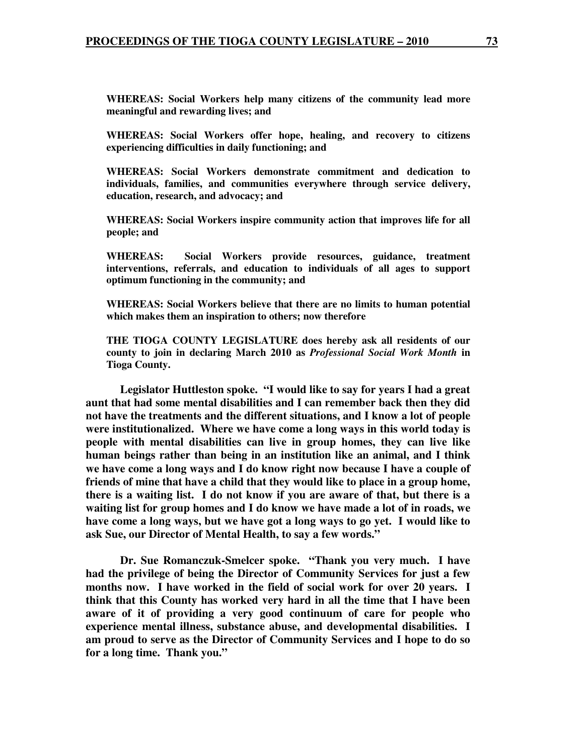**WHEREAS: Social Workers help many citizens of the community lead more meaningful and rewarding lives; and** 

**WHEREAS: Social Workers offer hope, healing, and recovery to citizens experiencing difficulties in daily functioning; and** 

**WHEREAS: Social Workers demonstrate commitment and dedication to individuals, families, and communities everywhere through service delivery, education, research, and advocacy; and** 

**WHEREAS: Social Workers inspire community action that improves life for all people; and** 

**WHEREAS: Social Workers provide resources, guidance, treatment interventions, referrals, and education to individuals of all ages to support optimum functioning in the community; and** 

**WHEREAS: Social Workers believe that there are no limits to human potential which makes them an inspiration to others; now therefore** 

**THE TIOGA COUNTY LEGISLATURE does hereby ask all residents of our county to join in declaring March 2010 as** *Professional Social Work Month* **in Tioga County.** 

 **Legislator Huttleston spoke. "I would like to say for years I had a great aunt that had some mental disabilities and I can remember back then they did not have the treatments and the different situations, and I know a lot of people were institutionalized. Where we have come a long ways in this world today is people with mental disabilities can live in group homes, they can live like human beings rather than being in an institution like an animal, and I think we have come a long ways and I do know right now because I have a couple of friends of mine that have a child that they would like to place in a group home, there is a waiting list. I do not know if you are aware of that, but there is a waiting list for group homes and I do know we have made a lot of in roads, we have come a long ways, but we have got a long ways to go yet. I would like to ask Sue, our Director of Mental Health, to say a few words."** 

 **Dr. Sue Romanczuk-Smelcer spoke. "Thank you very much. I have had the privilege of being the Director of Community Services for just a few months now. I have worked in the field of social work for over 20 years. I think that this County has worked very hard in all the time that I have been aware of it of providing a very good continuum of care for people who experience mental illness, substance abuse, and developmental disabilities. I am proud to serve as the Director of Community Services and I hope to do so for a long time. Thank you."**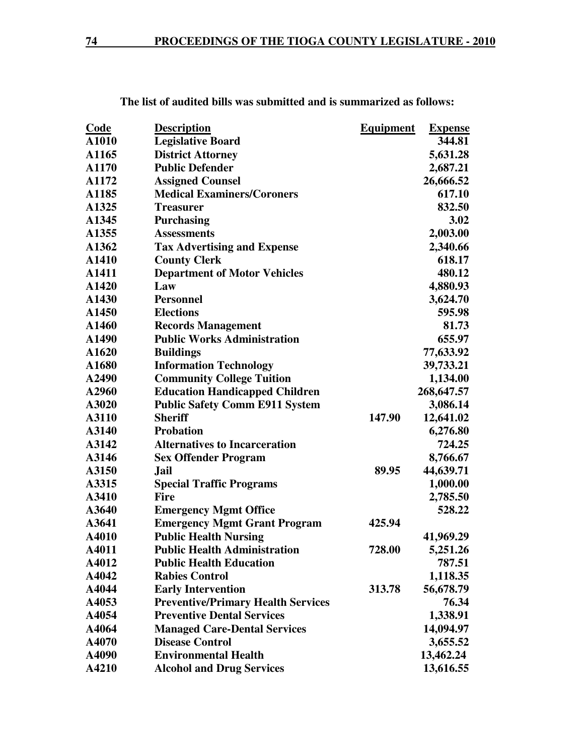| <b>Code</b> | <b>Description</b>                        | <b>Equipment</b> | <b>Expense</b> |
|-------------|-------------------------------------------|------------------|----------------|
| A1010       | <b>Legislative Board</b>                  |                  | 344.81         |
| A1165       | <b>District Attorney</b>                  |                  | 5,631.28       |
| A1170       | <b>Public Defender</b>                    |                  | 2,687.21       |
| A1172       | <b>Assigned Counsel</b>                   |                  | 26,666.52      |
| A1185       | <b>Medical Examiners/Coroners</b>         |                  | 617.10         |
| A1325       | <b>Treasurer</b>                          |                  | 832.50         |
| A1345       | <b>Purchasing</b>                         |                  | 3.02           |
| A1355       | <b>Assessments</b>                        |                  | 2,003.00       |
| A1362       | <b>Tax Advertising and Expense</b>        |                  | 2,340.66       |
| A1410       | <b>County Clerk</b>                       |                  | 618.17         |
| A1411       | <b>Department of Motor Vehicles</b>       |                  | 480.12         |
| A1420       | Law                                       |                  | 4,880.93       |
| A1430       | <b>Personnel</b>                          |                  | 3,624.70       |
| A1450       | <b>Elections</b>                          |                  | 595.98         |
| A1460       | <b>Records Management</b>                 |                  | 81.73          |
| A1490       | <b>Public Works Administration</b>        |                  | 655.97         |
| A1620       | <b>Buildings</b>                          |                  | 77,633.92      |
| A1680       | <b>Information Technology</b>             |                  | 39,733.21      |
| A2490       | <b>Community College Tuition</b>          |                  | 1,134.00       |
| A2960       | <b>Education Handicapped Children</b>     |                  | 268,647.57     |
| A3020       | <b>Public Safety Comm E911 System</b>     |                  | 3,086.14       |
| A3110       | <b>Sheriff</b>                            | 147.90           | 12,641.02      |
| A3140       | <b>Probation</b>                          |                  | 6,276.80       |
| A3142       | <b>Alternatives to Incarceration</b>      |                  | 724.25         |
| A3146       | <b>Sex Offender Program</b>               |                  | 8,766.67       |
| A3150       | Jail                                      | 89.95            | 44,639.71      |
| A3315       | <b>Special Traffic Programs</b>           |                  | 1,000.00       |
| A3410       | <b>Fire</b>                               |                  | 2,785.50       |
| A3640       | <b>Emergency Mgmt Office</b>              |                  | 528.22         |
| A3641       | <b>Emergency Mgmt Grant Program</b>       | 425.94           |                |
| A4010       | <b>Public Health Nursing</b>              |                  | 41,969.29      |
| A4011       | <b>Public Health Administration</b>       | 728.00           | 5,251.26       |
| A4012       | <b>Public Health Education</b>            |                  | 787.51         |
| A4042       | <b>Rabies Control</b>                     |                  | 1,118.35       |
| A4044       | <b>Early Intervention</b>                 | 313.78           | 56,678.79      |
| A4053       | <b>Preventive/Primary Health Services</b> |                  | 76.34          |
| A4054       | <b>Preventive Dental Services</b>         |                  | 1,338.91       |
| A4064       | <b>Managed Care-Dental Services</b>       |                  | 14,094.97      |
| A4070       | <b>Disease Control</b>                    |                  | 3,655.52       |
| A4090       | <b>Environmental Health</b>               |                  | 13,462.24      |
| A4210       | <b>Alcohol and Drug Services</b>          |                  | 13,616.55      |

 **The list of audited bills was submitted and is summarized as follows:**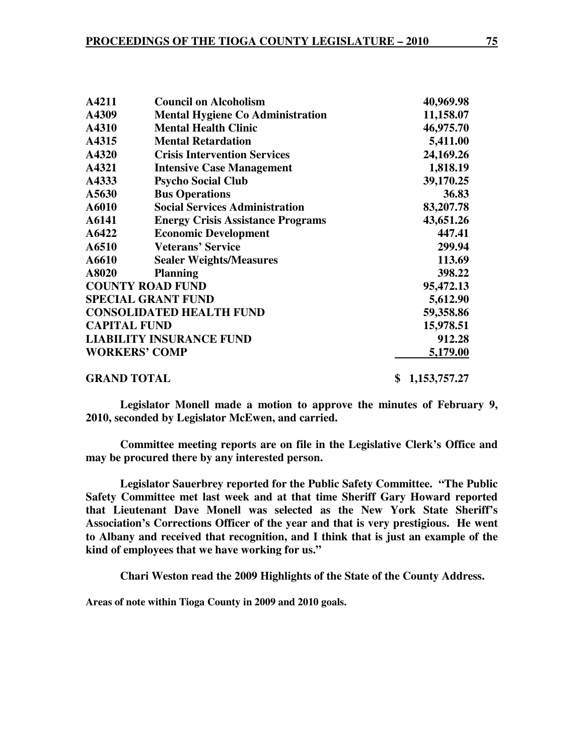| A4211               | <b>Council on Alcoholism</b>             | 40,969.98          |
|---------------------|------------------------------------------|--------------------|
| A4309               | <b>Mental Hygiene Co Administration</b>  | 11,158.07          |
| A4310               | <b>Mental Health Clinic</b>              | 46,975.70          |
| A4315               | <b>Mental Retardation</b>                | 5,411.00           |
| A4320               | <b>Crisis Intervention Services</b>      | 24,169.26          |
| A4321               | <b>Intensive Case Management</b>         | 1,818.19           |
| A4333               | <b>Psycho Social Club</b>                | 39,170.25          |
| A5630               | <b>Bus Operations</b>                    | 36.83              |
| A6010               | <b>Social Services Administration</b>    | 83,207.78          |
| A6141               | <b>Energy Crisis Assistance Programs</b> | 43,651.26          |
| A6422               | <b>Economic Development</b>              | 447.41             |
| A6510               | <b>Veterans' Service</b>                 | 299.94             |
| A6610               | <b>Sealer Weights/Measures</b>           | 113.69             |
| A8020               | <b>Planning</b>                          | 398.22             |
|                     | <b>COUNTY ROAD FUND</b>                  | 95,472.13          |
|                     | <b>SPECIAL GRANT FUND</b>                | 5,612.90           |
|                     | <b>CONSOLIDATED HEALTH FUND</b>          | 59,358.86          |
| <b>CAPITAL FUND</b> |                                          | 15,978.51          |
|                     | <b>LIABILITY INSURANCE FUND</b>          | 912.28             |
|                     | <b>WORKERS' COMP</b>                     | 5,179.00           |
| <b>GRAND TOTAL</b>  |                                          | 1,153,757.27<br>\$ |

**Legislator Monell made a motion to approve the minutes of February 9, 2010, seconded by Legislator McEwen, and carried.** 

**Committee meeting reports are on file in the Legislative Clerk's Office and may be procured there by any interested person.** 

 **Legislator Sauerbrey reported for the Public Safety Committee. "The Public Safety Committee met last week and at that time Sheriff Gary Howard reported that Lieutenant Dave Monell was selected as the New York State Sheriff's Association's Corrections Officer of the year and that is very prestigious. He went to Albany and received that recognition, and I think that is just an example of the kind of employees that we have working for us."** 

**Chari Weston read the 2009 Highlights of the State of the County Address.** 

**Areas of note within Tioga County in 2009 and 2010 goals.**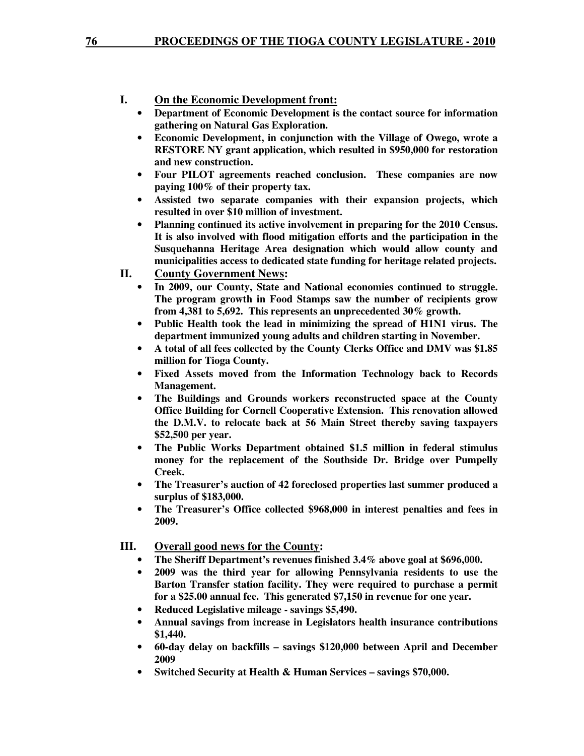### **I. On the Economic Development front:**

- **Department of Economic Development is the contact source for information gathering on Natural Gas Exploration.**
- **Economic Development, in conjunction with the Village of Owego, wrote a RESTORE NY grant application, which resulted in \$950,000 for restoration and new construction.**
- **Four PILOT agreements reached conclusion. These companies are now paying 100% of their property tax.**
- **Assisted two separate companies with their expansion projects, which resulted in over \$10 million of investment.**
- **Planning continued its active involvement in preparing for the 2010 Census. It is also involved with flood mitigation efforts and the participation in the Susquehanna Heritage Area designation which would allow county and municipalities access to dedicated state funding for heritage related projects.**
- **II. County Government News:** 
	- **In 2009, our County, State and National economies continued to struggle. The program growth in Food Stamps saw the number of recipients grow from 4,381 to 5,692. This represents an unprecedented 30% growth.**
	- **Public Health took the lead in minimizing the spread of H1N1 virus. The department immunized young adults and children starting in November.**
	- **A total of all fees collected by the County Clerks Office and DMV was \$1.85 million for Tioga County.**
	- **Fixed Assets moved from the Information Technology back to Records Management.**
	- **The Buildings and Grounds workers reconstructed space at the County Office Building for Cornell Cooperative Extension. This renovation allowed the D.M.V. to relocate back at 56 Main Street thereby saving taxpayers \$52,500 per year.**
	- **The Public Works Department obtained \$1.5 million in federal stimulus money for the replacement of the Southside Dr. Bridge over Pumpelly Creek.**
	- **The Treasurer's auction of 42 foreclosed properties last summer produced a surplus of \$183,000.**
	- **The Treasurer's Office collected \$968,000 in interest penalties and fees in 2009.**

**III. Overall good news for the County:** 

- **The Sheriff Department's revenues finished 3.4% above goal at \$696,000.**
- **2009 was the third year for allowing Pennsylvania residents to use the Barton Transfer station facility. They were required to purchase a permit for a \$25.00 annual fee. This generated \$7,150 in revenue for one year.**
- **Reduced Legislative mileage savings \$5,490.**
- **Annual savings from increase in Legislators health insurance contributions \$1,440.**
- **60-day delay on backfills savings \$120,000 between April and December 2009**
- **Switched Security at Health & Human Services savings \$70,000.**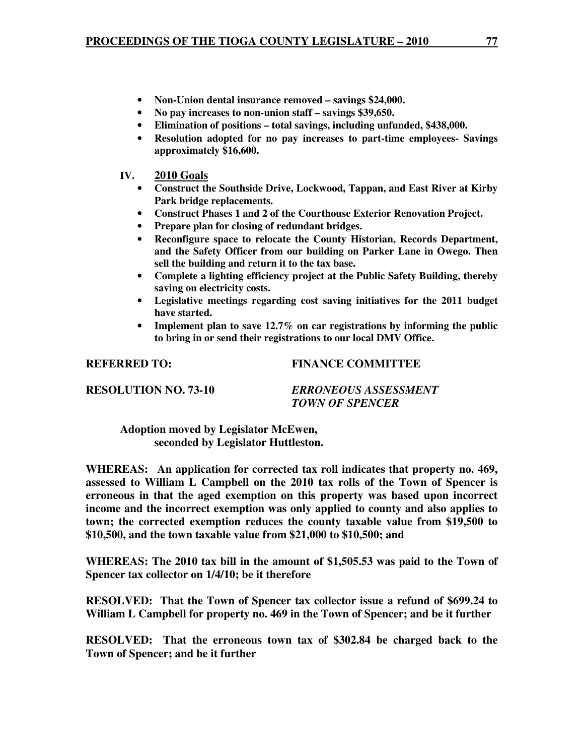- 
- **Non-Union dental insurance removed savings \$24,000.**<br>• **No nav increases to non-union staff savings \$39,650.** • **No pay increases to non-union staff – savings \$39,650.**
- **Elimination of positions total savings, including unfunded, \$438,000.**
- **Resolution adopted for no pay increases to part-time employees- Savings approximately \$16,600.**
- **IV. 2010 Goals**
	- **Construct the Southside Drive, Lockwood, Tappan, and East River at Kirby Park bridge replacements.**
	- **Construct Phases 1 and 2 of the Courthouse Exterior Renovation Project.**
	- **Prepare plan for closing of redundant bridges.**
	- **Reconfigure space to relocate the County Historian, Records Department, and the Safety Officer from our building on Parker Lane in Owego. Then sell the building and return it to the tax base.**
	- **Complete a lighting efficiency project at the Public Safety Building, thereby saving on electricity costs.**
	- **Legislative meetings regarding cost saving initiatives for the 2011 budget have started.**
	- **Implement plan to save 12.7% on car registrations by informing the public to bring in or send their registrations to our local DMV Office.**

**REFERRED TO: FINANCE COMMITTEE** 

**RESOLUTION NO. 73-10** *ERRONEOUS ASSESSMENT TOWN OF SPENCER* 

 **Adoption moved by Legislator McEwen, seconded by Legislator Huttleston.** 

**WHEREAS: An application for corrected tax roll indicates that property no. 469, assessed to William L Campbell on the 2010 tax rolls of the Town of Spencer is erroneous in that the aged exemption on this property was based upon incorrect income and the incorrect exemption was only applied to county and also applies to town; the corrected exemption reduces the county taxable value from \$19,500 to \$10,500, and the town taxable value from \$21,000 to \$10,500; and** 

**WHEREAS: The 2010 tax bill in the amount of \$1,505.53 was paid to the Town of Spencer tax collector on 1/4/10; be it therefore** 

**RESOLVED: That the Town of Spencer tax collector issue a refund of \$699.24 to William L Campbell for property no. 469 in the Town of Spencer; and be it further** 

**RESOLVED: That the erroneous town tax of \$302.84 be charged back to the Town of Spencer; and be it further**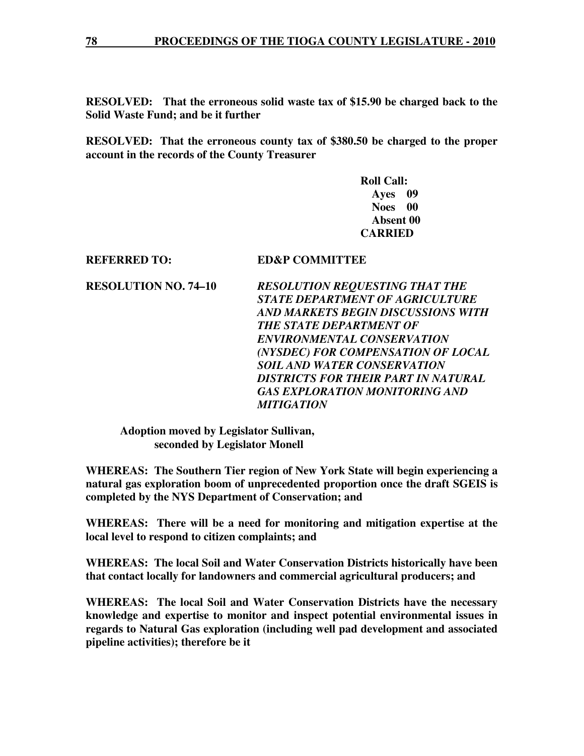**RESOLVED: That the erroneous solid waste tax of \$15.90 be charged back to the Solid Waste Fund; and be it further** 

**RESOLVED: That the erroneous county tax of \$380.50 be charged to the proper account in the records of the County Treasurer** 

> **Roll Call: Ayes 09 Noes 00 Absent 00 CARRIED**

**REFERRED TO: ED&P COMMITTEE** 

**RESOLUTION NO. 74–10** *RESOLUTION REQUESTING THAT THE STATE DEPARTMENT OF AGRICULTURE AND MARKETS BEGIN DISCUSSIONS WITH THE STATE DEPARTMENT OF ENVIRONMENTAL CONSERVATION (NYSDEC) FOR COMPENSATION OF LOCAL SOIL AND WATER CONSERVATION DISTRICTS FOR THEIR PART IN NATURAL GAS EXPLORATION MONITORING AND MITIGATION* 

 **Adoption moved by Legislator Sullivan, seconded by Legislator Monell** 

**WHEREAS: The Southern Tier region of New York State will begin experiencing a natural gas exploration boom of unprecedented proportion once the draft SGEIS is completed by the NYS Department of Conservation; and** 

**WHEREAS: There will be a need for monitoring and mitigation expertise at the local level to respond to citizen complaints; and** 

**WHEREAS: The local Soil and Water Conservation Districts historically have been that contact locally for landowners and commercial agricultural producers; and** 

**WHEREAS: The local Soil and Water Conservation Districts have the necessary knowledge and expertise to monitor and inspect potential environmental issues in regards to Natural Gas exploration (including well pad development and associated pipeline activities); therefore be it**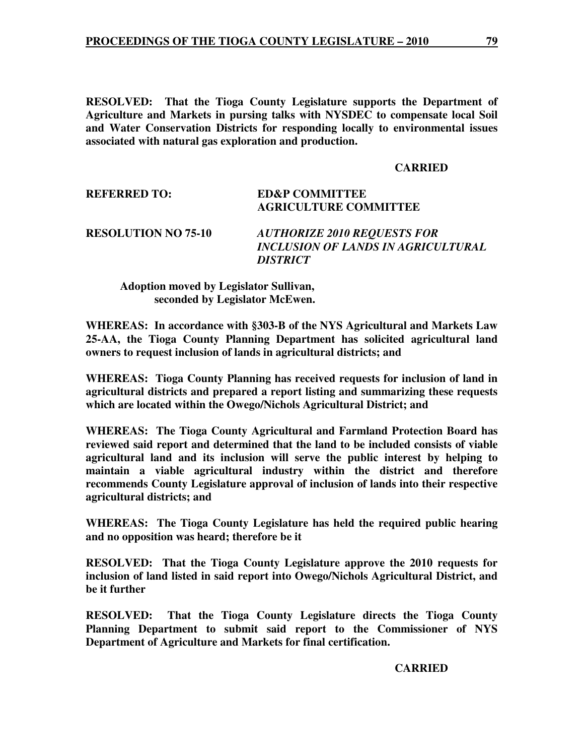**RESOLVED: That the Tioga County Legislature supports the Department of Agriculture and Markets in pursing talks with NYSDEC to compensate local Soil and Water Conservation Districts for responding locally to environmental issues associated with natural gas exploration and production.** 

#### **CARRIED**

| <b>REFERRED TO:</b>        | <b>ED&amp;P COMMITTEE</b><br><b>AGRICULTURE COMMITTEE</b>                                                 |
|----------------------------|-----------------------------------------------------------------------------------------------------------|
| <b>RESOLUTION NO 75-10</b> | <b>AUTHORIZE 2010 REQUESTS FOR</b><br><b>INCLUSION OF LANDS IN AGRICULTURAL</b><br><i><b>DISTRICT</b></i> |

## **Adoption moved by Legislator Sullivan, seconded by Legislator McEwen.**

**WHEREAS: In accordance with §303-B of the NYS Agricultural and Markets Law 25-AA, the Tioga County Planning Department has solicited agricultural land owners to request inclusion of lands in agricultural districts; and** 

**WHEREAS: Tioga County Planning has received requests for inclusion of land in agricultural districts and prepared a report listing and summarizing these requests which are located within the Owego/Nichols Agricultural District; and** 

**WHEREAS: The Tioga County Agricultural and Farmland Protection Board has reviewed said report and determined that the land to be included consists of viable agricultural land and its inclusion will serve the public interest by helping to maintain a viable agricultural industry within the district and therefore recommends County Legislature approval of inclusion of lands into their respective agricultural districts; and** 

**WHEREAS: The Tioga County Legislature has held the required public hearing and no opposition was heard; therefore be it** 

**RESOLVED: That the Tioga County Legislature approve the 2010 requests for inclusion of land listed in said report into Owego/Nichols Agricultural District, and be it further** 

**RESOLVED: That the Tioga County Legislature directs the Tioga County Planning Department to submit said report to the Commissioner of NYS Department of Agriculture and Markets for final certification.** 

#### **CARRIED**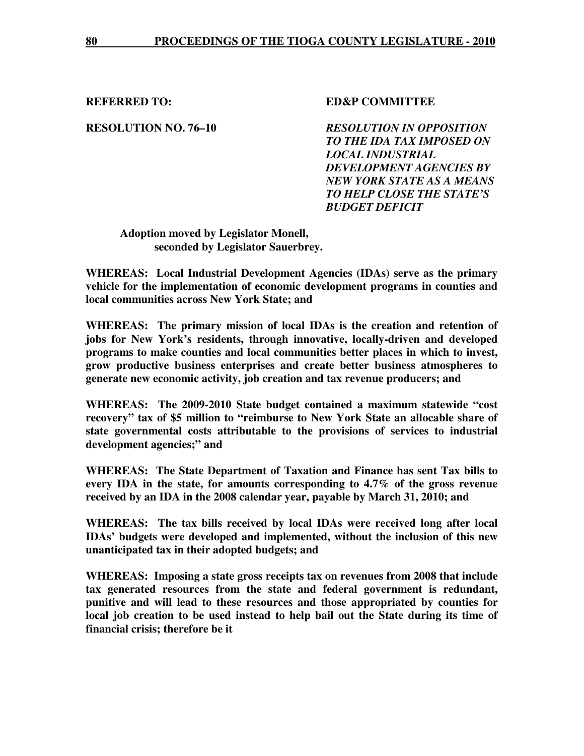### **REFERRED TO: SED&P COMMITTEE**

**RESOLUTION NO. 76–10** *RESOLUTION IN OPPOSITION TO THE IDA TAX IMPOSED ON LOCAL INDUSTRIAL DEVELOPMENT AGENCIES BY NEW YORK STATE AS A MEANS TO HELP CLOSE THE STATE'S BUDGET DEFICIT* 

 **Adoption moved by Legislator Monell, seconded by Legislator Sauerbrey.** 

**WHEREAS: Local Industrial Development Agencies (IDAs) serve as the primary vehicle for the implementation of economic development programs in counties and local communities across New York State; and** 

**WHEREAS: The primary mission of local IDAs is the creation and retention of jobs for New York's residents, through innovative, locally-driven and developed programs to make counties and local communities better places in which to invest, grow productive business enterprises and create better business atmospheres to generate new economic activity, job creation and tax revenue producers; and** 

**WHEREAS: The 2009-2010 State budget contained a maximum statewide "cost recovery" tax of \$5 million to "reimburse to New York State an allocable share of state governmental costs attributable to the provisions of services to industrial development agencies;" and** 

**WHEREAS: The State Department of Taxation and Finance has sent Tax bills to every IDA in the state, for amounts corresponding to 4.7% of the gross revenue received by an IDA in the 2008 calendar year, payable by March 31, 2010; and** 

**WHEREAS: The tax bills received by local IDAs were received long after local IDAs' budgets were developed and implemented, without the inclusion of this new unanticipated tax in their adopted budgets; and** 

**WHEREAS: Imposing a state gross receipts tax on revenues from 2008 that include tax generated resources from the state and federal government is redundant, punitive and will lead to these resources and those appropriated by counties for local job creation to be used instead to help bail out the State during its time of financial crisis; therefore be it**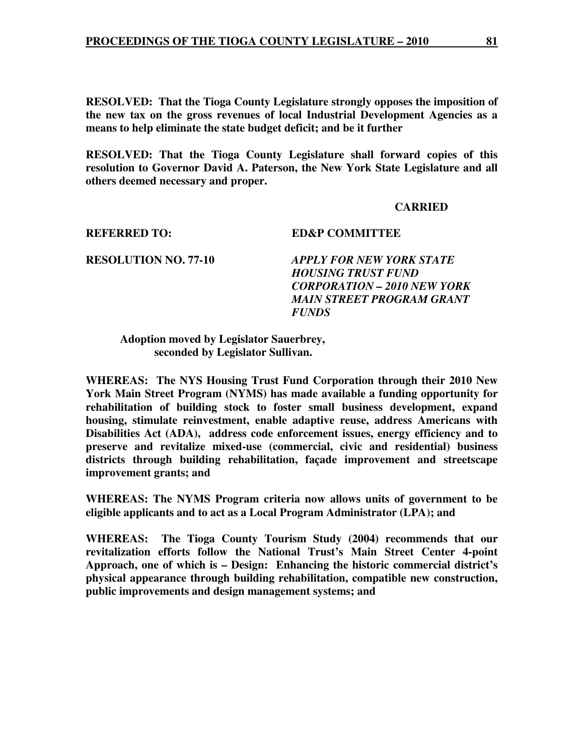**RESOLVED: That the Tioga County Legislature strongly opposes the imposition of the new tax on the gross revenues of local Industrial Development Agencies as a means to help eliminate the state budget deficit; and be it further** 

**RESOLVED: That the Tioga County Legislature shall forward copies of this resolution to Governor David A. Paterson, the New York State Legislature and all others deemed necessary and proper.** 

#### **CARRIED**

#### **REFERRED TO: ED&P COMMITTEE**

# **RESOLUTION NO. 77-10** *APPLY FOR NEW YORK STATE HOUSING TRUST FUND CORPORATION – 2010 NEW YORK MAIN STREET PROGRAM GRANT FUNDS*

#### **Adoption moved by Legislator Sauerbrey, seconded by Legislator Sullivan.**

**WHEREAS: The NYS Housing Trust Fund Corporation through their 2010 New York Main Street Program (NYMS) has made available a funding opportunity for rehabilitation of building stock to foster small business development, expand housing, stimulate reinvestment, enable adaptive reuse, address Americans with Disabilities Act (ADA), address code enforcement issues, energy efficiency and to preserve and revitalize mixed-use (commercial, civic and residential) business districts through building rehabilitation, façade improvement and streetscape improvement grants; and** 

**WHEREAS: The NYMS Program criteria now allows units of government to be eligible applicants and to act as a Local Program Administrator (LPA); and** 

**WHEREAS: The Tioga County Tourism Study (2004) recommends that our revitalization efforts follow the National Trust's Main Street Center 4-point Approach, one of which is – Design: Enhancing the historic commercial district's physical appearance through building rehabilitation, compatible new construction, public improvements and design management systems; and**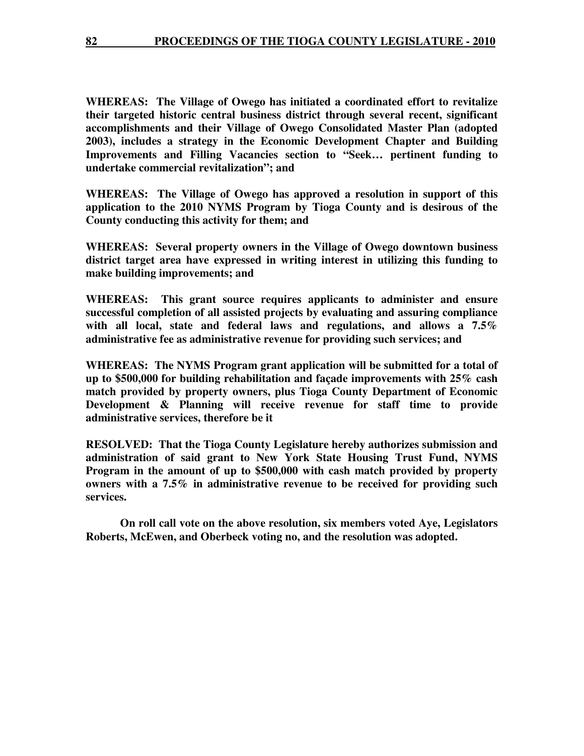**WHEREAS: The Village of Owego has initiated a coordinated effort to revitalize their targeted historic central business district through several recent, significant accomplishments and their Village of Owego Consolidated Master Plan (adopted 2003), includes a strategy in the Economic Development Chapter and Building Improvements and Filling Vacancies section to "Seek… pertinent funding to undertake commercial revitalization"; and** 

**WHEREAS: The Village of Owego has approved a resolution in support of this application to the 2010 NYMS Program by Tioga County and is desirous of the County conducting this activity for them; and** 

**WHEREAS: Several property owners in the Village of Owego downtown business district target area have expressed in writing interest in utilizing this funding to make building improvements; and** 

**WHEREAS: This grant source requires applicants to administer and ensure successful completion of all assisted projects by evaluating and assuring compliance with all local, state and federal laws and regulations, and allows a 7.5% administrative fee as administrative revenue for providing such services; and** 

**WHEREAS: The NYMS Program grant application will be submitted for a total of up to \$500,000 for building rehabilitation and façade improvements with 25% cash match provided by property owners, plus Tioga County Department of Economic Development & Planning will receive revenue for staff time to provide administrative services, therefore be it** 

**RESOLVED: That the Tioga County Legislature hereby authorizes submission and administration of said grant to New York State Housing Trust Fund, NYMS Program in the amount of up to \$500,000 with cash match provided by property owners with a 7.5% in administrative revenue to be received for providing such services.** 

 **On roll call vote on the above resolution, six members voted Aye, Legislators Roberts, McEwen, and Oberbeck voting no, and the resolution was adopted.**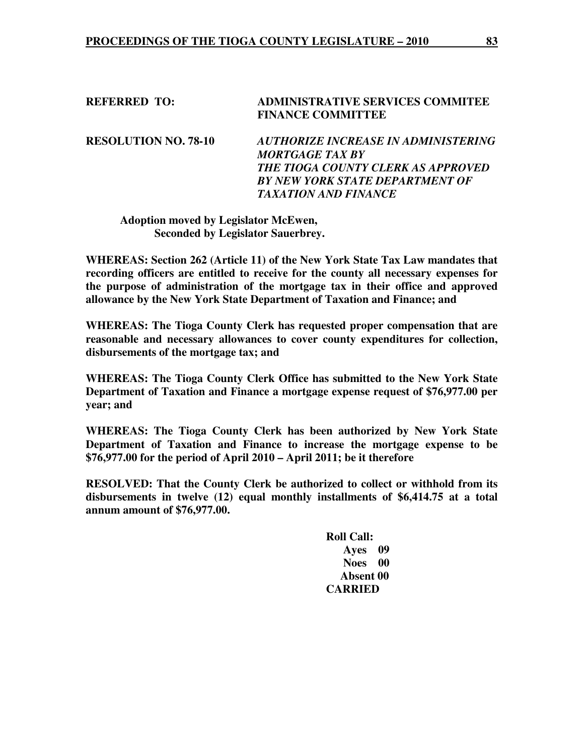### **REFERRED TO: ADMINISTRATIVE SERVICES COMMITEE FINANCE COMMITTEE**

**RESOLUTION NO. 78-10** *AUTHORIZE INCREASE IN ADMINISTERING MORTGAGE TAX BY THE TIOGA COUNTY CLERK AS APPROVED BY NEW YORK STATE DEPARTMENT OF TAXATION AND FINANCE* 

## **Adoption moved by Legislator McEwen, Seconded by Legislator Sauerbrey.**

**WHEREAS: Section 262 (Article 11) of the New York State Tax Law mandates that recording officers are entitled to receive for the county all necessary expenses for the purpose of administration of the mortgage tax in their office and approved allowance by the New York State Department of Taxation and Finance; and** 

**WHEREAS: The Tioga County Clerk has requested proper compensation that are reasonable and necessary allowances to cover county expenditures for collection, disbursements of the mortgage tax; and** 

**WHEREAS: The Tioga County Clerk Office has submitted to the New York State Department of Taxation and Finance a mortgage expense request of \$76,977.00 per year; and** 

**WHEREAS: The Tioga County Clerk has been authorized by New York State Department of Taxation and Finance to increase the mortgage expense to be \$76,977.00 for the period of April 2010 – April 2011; be it therefore** 

**RESOLVED: That the County Clerk be authorized to collect or withhold from its disbursements in twelve (12) equal monthly installments of \$6,414.75 at a total annum amount of \$76,977.00.** 

> **Roll Call: Ayes 09 Noes 00 Absent 00 CARRIED**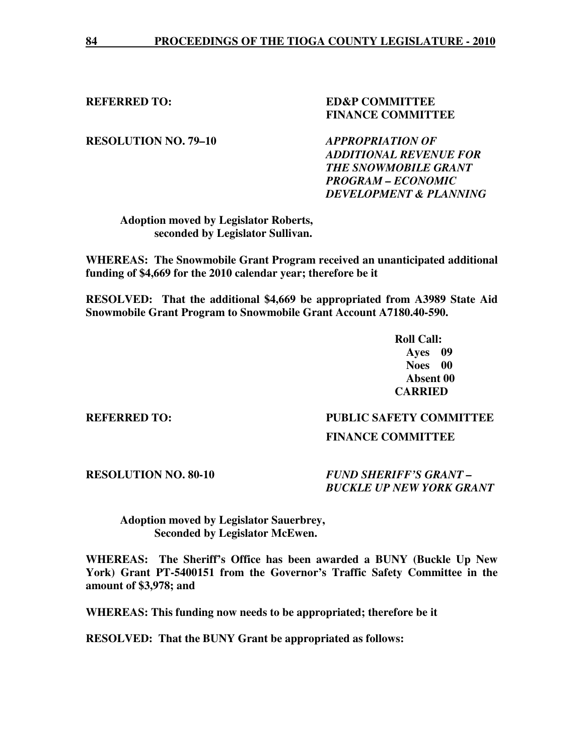## **REFERRED TO: SED&P COMMITTEE FINANCE COMMITTEE**

**RESOLUTION NO. 79–10** *APPROPRIATION OF* 

*ADDITIONAL REVENUE FOR THE SNOWMOBILE GRANT PROGRAM – ECONOMIC DEVELOPMENT & PLANNING* 

 **Adoption moved by Legislator Roberts, seconded by Legislator Sullivan.** 

**WHEREAS: The Snowmobile Grant Program received an unanticipated additional funding of \$4,669 for the 2010 calendar year; therefore be it** 

**RESOLVED: That the additional \$4,669 be appropriated from A3989 State Aid Snowmobile Grant Program to Snowmobile Grant Account A7180.40-590.** 

 **Roll Call: Ayes 09 Noes 00 Absent 00 CARRIED** 

### **REFERRED TO: PUBLIC SAFETY COMMITTEE**

### **FINANCE COMMITTEE**

**RESOLUTION NO. 80-10** *FUND SHERIFF'S GRANT – BUCKLE UP NEW YORK GRANT* 

 **Adoption moved by Legislator Sauerbrey, Seconded by Legislator McEwen.** 

**WHEREAS: The Sheriff's Office has been awarded a BUNY (Buckle Up New York) Grant PT-5400151 from the Governor's Traffic Safety Committee in the amount of \$3,978; and** 

**WHEREAS: This funding now needs to be appropriated; therefore be it** 

**RESOLVED: That the BUNY Grant be appropriated as follows:**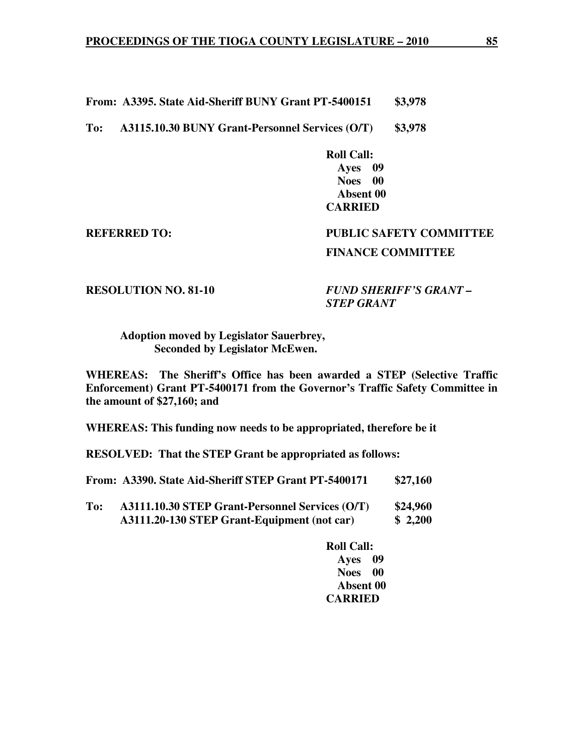**From: A3395. State Aid-Sheriff BUNY Grant PT-5400151 \$3,978** 

**To: A3115.10.30 BUNY Grant-Personnel Services (O/T) \$3,978** 

 **Roll Call: Ayes 09 Noes 00 Absent 00 CARRIED** 

# **REFERRED TO: PUBLIC SAFETY COMMITTEE FINANCE COMMITTEE**

**RESOLUTION NO. 81-10** *FUND SHERIFF'S GRANT – STEP GRANT* 

 **Adoption moved by Legislator Sauerbrey, Seconded by Legislator McEwen.** 

**WHEREAS: The Sheriff's Office has been awarded a STEP (Selective Traffic Enforcement) Grant PT-5400171 from the Governor's Traffic Safety Committee in the amount of \$27,160; and** 

**WHEREAS: This funding now needs to be appropriated, therefore be it** 

**RESOLVED: That the STEP Grant be appropriated as follows:** 

|     | From: A3390. State Aid-Sheriff STEP Grant PT-5400171                                           | \$27,160            |
|-----|------------------------------------------------------------------------------------------------|---------------------|
| To: | A3111.10.30 STEP Grant-Personnel Services (O/T)<br>A3111.20-130 STEP Grant-Equipment (not car) | \$24,960<br>\$2,200 |

 **Roll Call: Ayes 09 Noes 00 Absent 00 CARRIED**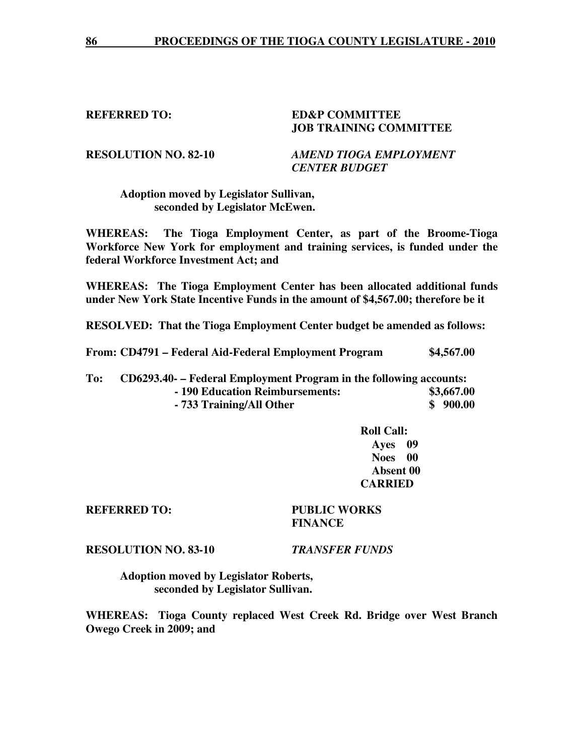## **REFERRED TO: ED&P COMMITTEE JOB TRAINING COMMITTEE**

**RESOLUTION NO. 82-10** *AMEND TIOGA EMPLOYMENT CENTER BUDGET* 

## **Adoption moved by Legislator Sullivan, seconded by Legislator McEwen.**

**WHEREAS: The Tioga Employment Center, as part of the Broome-Tioga Workforce New York for employment and training services, is funded under the federal Workforce Investment Act; and** 

**WHEREAS: The Tioga Employment Center has been allocated additional funds under New York State Incentive Funds in the amount of \$4,567.00; therefore be it** 

**RESOLVED: That the Tioga Employment Center budget be amended as follows:** 

**From: CD4791 – Federal Aid-Federal Employment Program \$4,567.00** 

### **To: CD6293.40- – Federal Employment Program in the following accounts: - 190 Education Reimbursements: \$3,667.00 - 733 Training/All Other \$ 900.00**  \$ 900.00

**Roll Call: Ayes 09 Noes 00 Absent 00 CARRIED** 

**REFERRED TO: PUBLIC WORKS FINANCE** 

**RESOLUTION NO. 83-10** *TRANSFER FUNDS*

 **Adoption moved by Legislator Roberts, seconded by Legislator Sullivan.** 

**WHEREAS: Tioga County replaced West Creek Rd. Bridge over West Branch Owego Creek in 2009; and**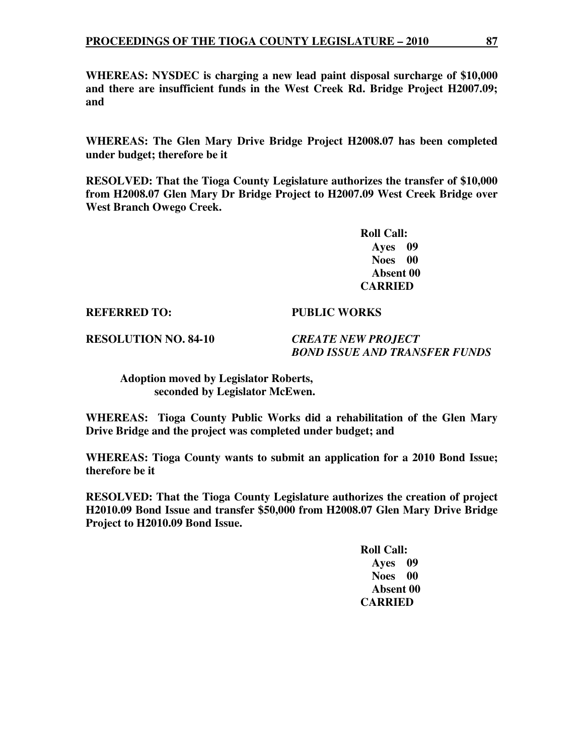**WHEREAS: NYSDEC is charging a new lead paint disposal surcharge of \$10,000 and there are insufficient funds in the West Creek Rd. Bridge Project H2007.09; and** 

**WHEREAS: The Glen Mary Drive Bridge Project H2008.07 has been completed under budget; therefore be it** 

**RESOLVED: That the Tioga County Legislature authorizes the transfer of \$10,000 from H2008.07 Glen Mary Dr Bridge Project to H2007.09 West Creek Bridge over West Branch Owego Creek.** 

> **Roll Call: Ayes 09 Noes 00 Absent 00 CARRIED**

**REFERRED TO: PUBLIC WORKS** 

**RESOLUTION NO. 84-10** *CREATE NEW PROJECT* 

 *BOND ISSUE AND TRANSFER FUNDS* 

 **Adoption moved by Legislator Roberts, seconded by Legislator McEwen.** 

**WHEREAS: Tioga County Public Works did a rehabilitation of the Glen Mary Drive Bridge and the project was completed under budget; and** 

**WHEREAS: Tioga County wants to submit an application for a 2010 Bond Issue; therefore be it** 

**RESOLVED: That the Tioga County Legislature authorizes the creation of project H2010.09 Bond Issue and transfer \$50,000 from H2008.07 Glen Mary Drive Bridge Project to H2010.09 Bond Issue.** 

> **Roll Call: Ayes 09 Noes 00 Absent 00 CARRIED**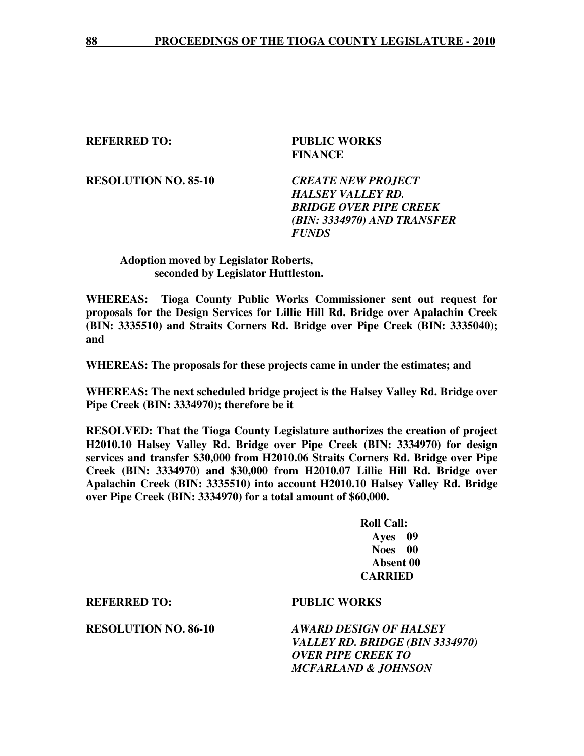**REFERRED TO: PUBLIC WORKS FINANCE** 

**RESOLUTION NO. 85-10** *CREATE NEW PROJECT* 

 *HALSEY VALLEY RD. BRIDGE OVER PIPE CREEK (BIN: 3334970) AND TRANSFER FUNDS* 

## **Adoption moved by Legislator Roberts, seconded by Legislator Huttleston.**

**WHEREAS: Tioga County Public Works Commissioner sent out request for proposals for the Design Services for Lillie Hill Rd. Bridge over Apalachin Creek (BIN: 3335510) and Straits Corners Rd. Bridge over Pipe Creek (BIN: 3335040); and** 

**WHEREAS: The proposals for these projects came in under the estimates; and** 

**WHEREAS: The next scheduled bridge project is the Halsey Valley Rd. Bridge over Pipe Creek (BIN: 3334970); therefore be it** 

**RESOLVED: That the Tioga County Legislature authorizes the creation of project H2010.10 Halsey Valley Rd. Bridge over Pipe Creek (BIN: 3334970) for design services and transfer \$30,000 from H2010.06 Straits Corners Rd. Bridge over Pipe Creek (BIN: 3334970) and \$30,000 from H2010.07 Lillie Hill Rd. Bridge over Apalachin Creek (BIN: 3335510) into account H2010.10 Halsey Valley Rd. Bridge over Pipe Creek (BIN: 3334970) for a total amount of \$60,000.** 

> **Roll Call: Ayes 09 Noes 00 Absent 00 CARRIED**

**REFERRED TO: PUBLIC WORKS** 

**RESOLUTION NO. 86-10** *AWARD DESIGN OF HALSEY VALLEY RD. BRIDGE (BIN 3334970) OVER PIPE CREEK TO MCFARLAND & JOHNSON*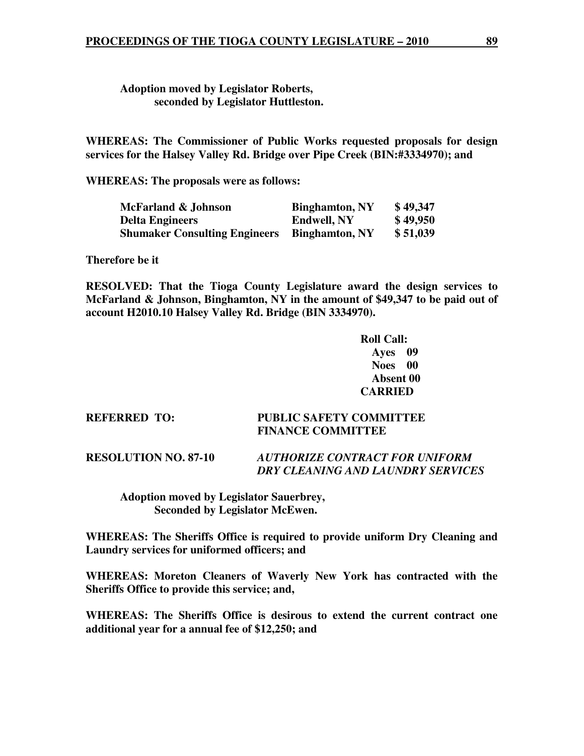**Adoption moved by Legislator Roberts, seconded by Legislator Huttleston.** 

**WHEREAS: The Commissioner of Public Works requested proposals for design services for the Halsey Valley Rd. Bridge over Pipe Creek (BIN:#3334970); and** 

**WHEREAS: The proposals were as follows:** 

| McFarland & Johnson                  | <b>Binghamton, NY</b> | \$49,347 |
|--------------------------------------|-----------------------|----------|
| <b>Delta Engineers</b>               | <b>Endwell, NY</b>    | \$49,950 |
| <b>Shumaker Consulting Engineers</b> | <b>Binghamton, NY</b> | \$51,039 |

**Therefore be it** 

**RESOLVED: That the Tioga County Legislature award the design services to McFarland & Johnson, Binghamton, NY in the amount of \$49,347 to be paid out of account H2010.10 Halsey Valley Rd. Bridge (BIN 3334970).** 

> **Roll Call: Ayes 09 Noes 00 Absent 00 CARRIED**

# **REFERRED TO: PUBLIC SAFETY COMMITTEE FINANCE COMMITTEE**

**RESOLUTION NO. 87-10** *AUTHORIZE CONTRACT FOR UNIFORM DRY CLEANING AND LAUNDRY SERVICES* 

 **Adoption moved by Legislator Sauerbrey, Seconded by Legislator McEwen.** 

**WHEREAS: The Sheriffs Office is required to provide uniform Dry Cleaning and Laundry services for uniformed officers; and** 

**WHEREAS: Moreton Cleaners of Waverly New York has contracted with the Sheriffs Office to provide this service; and,** 

**WHEREAS: The Sheriffs Office is desirous to extend the current contract one additional year for a annual fee of \$12,250; and**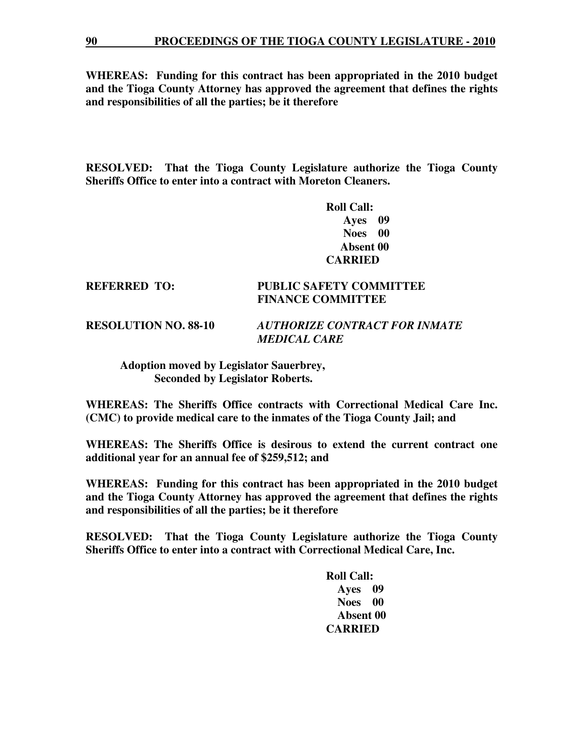**90 PROCEEDINGS OF THE TIOGA COUNTY LEGISLATURE - 2010**

**WHEREAS: Funding for this contract has been appropriated in the 2010 budget and the Tioga County Attorney has approved the agreement that defines the rights and responsibilities of all the parties; be it therefore** 

**RESOLVED: That the Tioga County Legislature authorize the Tioga County Sheriffs Office to enter into a contract with Moreton Cleaners.** 

> **Roll Call: Ayes 09 Noes 00 Absent 00 CARRIED**

### **REFERRED TO: PUBLIC SAFETY COMMITTEE FINANCE COMMITTEE**

**RESOLUTION NO. 88-10** *AUTHORIZE CONTRACT FOR INMATE MEDICAL CARE* 

 **Adoption moved by Legislator Sauerbrey, Seconded by Legislator Roberts.** 

**WHEREAS: The Sheriffs Office contracts with Correctional Medical Care Inc. (CMC) to provide medical care to the inmates of the Tioga County Jail; and** 

**WHEREAS: The Sheriffs Office is desirous to extend the current contract one additional year for an annual fee of \$259,512; and** 

**WHEREAS: Funding for this contract has been appropriated in the 2010 budget and the Tioga County Attorney has approved the agreement that defines the rights and responsibilities of all the parties; be it therefore** 

**RESOLVED: That the Tioga County Legislature authorize the Tioga County Sheriffs Office to enter into a contract with Correctional Medical Care, Inc.** 

> **Roll Call: Ayes 09 Noes 00 Absent 00 CARRIED**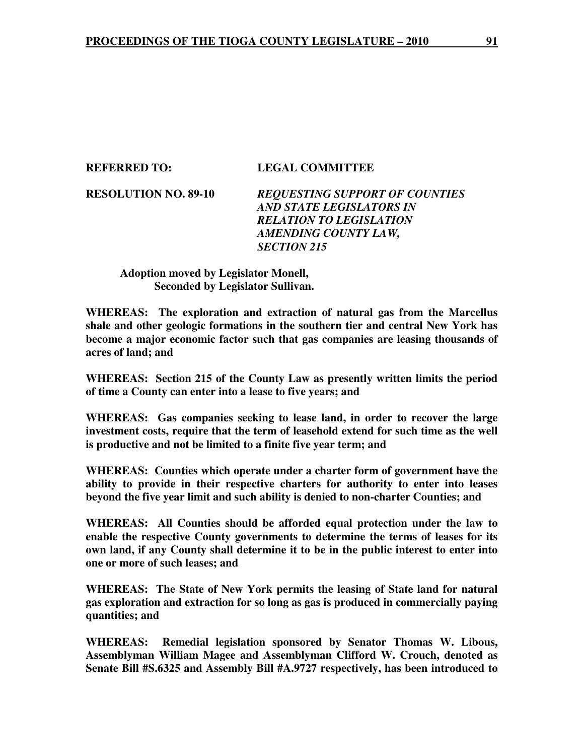#### **REFERRED TO: LEGAL COMMITTEE**

**RESOLUTION NO. 89-10** *REQUESTING SUPPORT OF COUNTIES AND STATE LEGISLATORS IN RELATION TO LEGISLATION AMENDING COUNTY LAW, SECTION 215* 

### **Adoption moved by Legislator Monell, Seconded by Legislator Sullivan.**

**WHEREAS: The exploration and extraction of natural gas from the Marcellus shale and other geologic formations in the southern tier and central New York has become a major economic factor such that gas companies are leasing thousands of acres of land; and** 

**WHEREAS: Section 215 of the County Law as presently written limits the period of time a County can enter into a lease to five years; and** 

**WHEREAS: Gas companies seeking to lease land, in order to recover the large investment costs, require that the term of leasehold extend for such time as the well is productive and not be limited to a finite five year term; and** 

**WHEREAS: Counties which operate under a charter form of government have the ability to provide in their respective charters for authority to enter into leases beyond the five year limit and such ability is denied to non-charter Counties; and** 

**WHEREAS: All Counties should be afforded equal protection under the law to enable the respective County governments to determine the terms of leases for its own land, if any County shall determine it to be in the public interest to enter into one or more of such leases; and** 

**WHEREAS: The State of New York permits the leasing of State land for natural gas exploration and extraction for so long as gas is produced in commercially paying quantities; and** 

**WHEREAS: Remedial legislation sponsored by Senator Thomas W. Libous, Assemblyman William Magee and Assemblyman Clifford W. Crouch, denoted as Senate Bill #S.6325 and Assembly Bill #A.9727 respectively, has been introduced to**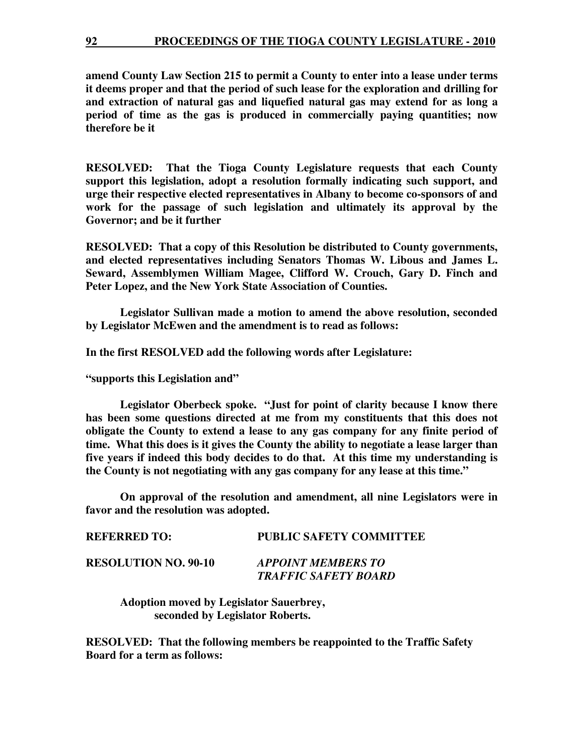**amend County Law Section 215 to permit a County to enter into a lease under terms it deems proper and that the period of such lease for the exploration and drilling for and extraction of natural gas and liquefied natural gas may extend for as long a period of time as the gas is produced in commercially paying quantities; now therefore be it** 

**RESOLVED: That the Tioga County Legislature requests that each County support this legislation, adopt a resolution formally indicating such support, and urge their respective elected representatives in Albany to become co-sponsors of and work for the passage of such legislation and ultimately its approval by the Governor; and be it further** 

**RESOLVED: That a copy of this Resolution be distributed to County governments, and elected representatives including Senators Thomas W. Libous and James L. Seward, Assemblymen William Magee, Clifford W. Crouch, Gary D. Finch and Peter Lopez, and the New York State Association of Counties.** 

 **Legislator Sullivan made a motion to amend the above resolution, seconded by Legislator McEwen and the amendment is to read as follows:** 

**In the first RESOLVED add the following words after Legislature:** 

**"supports this Legislation and"** 

 **Legislator Oberbeck spoke. "Just for point of clarity because I know there has been some questions directed at me from my constituents that this does not obligate the County to extend a lease to any gas company for any finite period of time. What this does is it gives the County the ability to negotiate a lease larger than five years if indeed this body decides to do that. At this time my understanding is the County is not negotiating with any gas company for any lease at this time."** 

 **On approval of the resolution and amendment, all nine Legislators were in favor and the resolution was adopted.** 

| <b>REFERRED TO:</b>         | <b>PUBLIC SAFETY COMMITTEE</b>                           |
|-----------------------------|----------------------------------------------------------|
| <b>RESOLUTION NO. 90-10</b> | <b>APPOINT MEMBERS TO</b><br><b>TRAFFIC SAFETY BOARD</b> |

 **Adoption moved by Legislator Sauerbrey, seconded by Legislator Roberts.** 

**RESOLVED: That the following members be reappointed to the Traffic Safety Board for a term as follows:**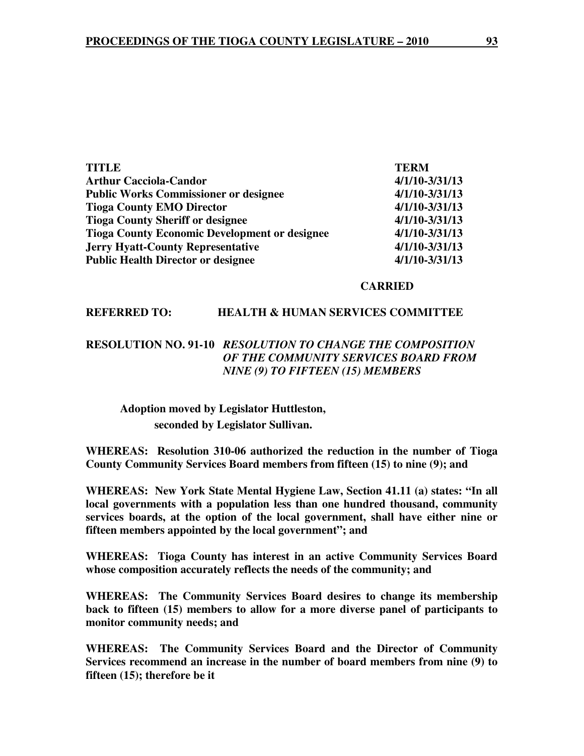| <b>TITLE</b>                                         | <b>TERM</b>        |
|------------------------------------------------------|--------------------|
| <b>Arthur Cacciola-Candor</b>                        | $4/1/10 - 3/31/13$ |
| <b>Public Works Commissioner or designee</b>         | $4/1/10 - 3/31/13$ |
| <b>Tioga County EMO Director</b>                     | $4/1/10 - 3/31/13$ |
| <b>Tioga County Sheriff or designee</b>              | $4/1/10 - 3/31/13$ |
| <b>Tioga County Economic Development or designee</b> | $4/1/10 - 3/31/13$ |
| <b>Jerry Hyatt-County Representative</b>             | $4/1/10 - 3/31/13$ |
| <b>Public Health Director or designee</b>            | $4/1/10 - 3/31/13$ |

#### **CARRIED**

#### **REFERRED TO: HEALTH & HUMAN SERVICES COMMITTEE**

## **RESOLUTION NO. 91-10** *RESOLUTION TO CHANGE THE COMPOSITION OF THE COMMUNITY SERVICES BOARD FROM NINE (9) TO FIFTEEN (15) MEMBERS*

# **Adoption moved by Legislator Huttleston, seconded by Legislator Sullivan.**

**WHEREAS: Resolution 310-06 authorized the reduction in the number of Tioga County Community Services Board members from fifteen (15) to nine (9); and** 

**WHEREAS: New York State Mental Hygiene Law, Section 41.11 (a) states: "In all local governments with a population less than one hundred thousand, community services boards, at the option of the local government, shall have either nine or fifteen members appointed by the local government"; and** 

**WHEREAS: Tioga County has interest in an active Community Services Board whose composition accurately reflects the needs of the community; and** 

**WHEREAS: The Community Services Board desires to change its membership back to fifteen (15) members to allow for a more diverse panel of participants to monitor community needs; and** 

**WHEREAS: The Community Services Board and the Director of Community Services recommend an increase in the number of board members from nine (9) to fifteen (15); therefore be it**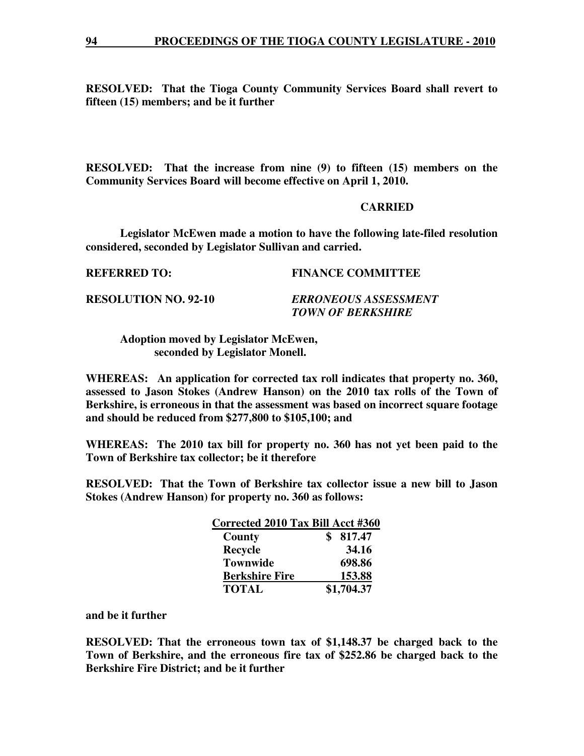**RESOLVED: That the Tioga County Community Services Board shall revert to fifteen (15) members; and be it further** 

**RESOLVED: That the increase from nine (9) to fifteen (15) members on the Community Services Board will become effective on April 1, 2010.** 

#### **CARRIED**

 **Legislator McEwen made a motion to have the following late-filed resolution considered, seconded by Legislator Sullivan and carried.** 

**REFERRED TO: FINANCE COMMITTEE** 

**RESOLUTION NO. 92-10** *ERRONEOUS ASSESSMENT* 

 *TOWN OF BERKSHIRE* 

 **Adoption moved by Legislator McEwen, seconded by Legislator Monell.** 

**WHEREAS: An application for corrected tax roll indicates that property no. 360, assessed to Jason Stokes (Andrew Hanson) on the 2010 tax rolls of the Town of Berkshire, is erroneous in that the assessment was based on incorrect square footage and should be reduced from \$277,800 to \$105,100; and** 

**WHEREAS: The 2010 tax bill for property no. 360 has not yet been paid to the Town of Berkshire tax collector; be it therefore** 

**RESOLVED: That the Town of Berkshire tax collector issue a new bill to Jason Stokes (Andrew Hanson) for property no. 360 as follows:** 

|                       | Corrected 2010 Tax Bill Acct #360 |
|-----------------------|-----------------------------------|
| County                | 817.47                            |
| <b>Recycle</b>        | 34.16                             |
| <b>Townwide</b>       | 698.86                            |
| <b>Berkshire Fire</b> | 153.88                            |
| <b>TOTAL</b>          | \$1,704.37                        |

**and be it further** 

**RESOLVED: That the erroneous town tax of \$1,148.37 be charged back to the Town of Berkshire, and the erroneous fire tax of \$252.86 be charged back to the Berkshire Fire District; and be it further**